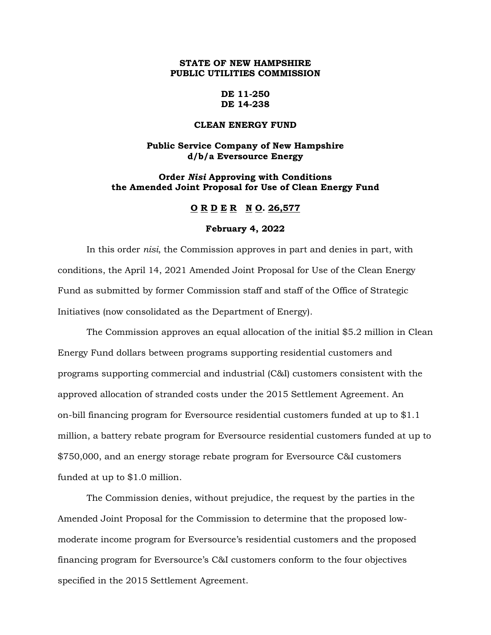# **STATE OF NEW HAMPSHIRE PUBLIC UTILITIES COMMISSION**

## **DE 11-250 DE 14-238**

## **CLEAN ENERGY FUND**

# **Public Service Company of New Hampshire d/b/a Eversource Energy**

# **Order** *Nisi* **Approving with Conditions the Amended Joint Proposal for Use of Clean Energy Fund**

# **O R D E R N O. 26,577**

#### **February 4, 2022**

In this order *nisi*, the Commission approves in part and denies in part, with conditions, the April 14, 2021 Amended Joint Proposal for Use of the Clean Energy Fund as submitted by former Commission staff and staff of the Office of Strategic Initiatives (now consolidated as the Department of Energy).

The Commission approves an equal allocation of the initial \$5.2 million in Clean Energy Fund dollars between programs supporting residential customers and programs supporting commercial and industrial (C&I) customers consistent with the approved allocation of stranded costs under the 2015 Settlement Agreement. An on-bill financing program for Eversource residential customers funded at up to \$1.1 million, a battery rebate program for Eversource residential customers funded at up to \$750,000, and an energy storage rebate program for Eversource C&I customers funded at up to \$1.0 million.

The Commission denies, without prejudice, the request by the parties in the Amended Joint Proposal for the Commission to determine that the proposed lowmoderate income program for Eversource's residential customers and the proposed financing program for Eversource's C&I customers conform to the four objectives specified in the 2015 Settlement Agreement.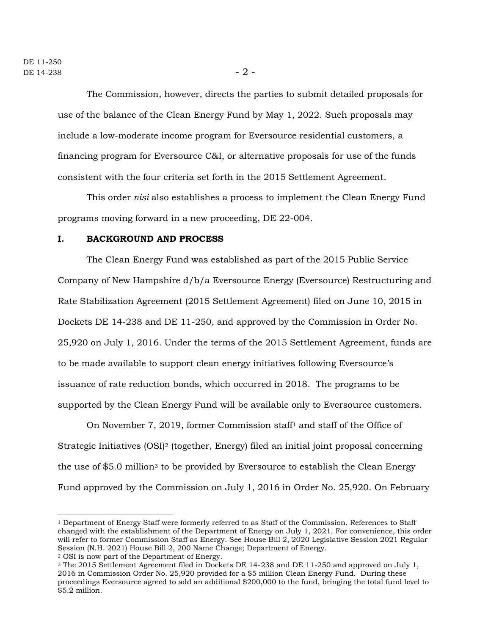The Commission, however, directs the parties to submit detailed proposals for use of the balance of the Clean Energy Fund by May 1, 2022. Such proposals may include a low-moderate income program for Eversource residential customers, a financing program for Eversource C&I, or alternative proposals for use of the funds consistent with the four criteria set forth in the 2015 Settlement Agreement.

This order *nisi* also establishes a process to implement the Clean Energy Fund programs moving forward in a new proceeding, DE 22-004.

### **I. BACKGROUND AND PROCESS**

The Clean Energy Fund was established as part of the 2015 Public Service Company of New Hampshire d/b/a Eversource Energy (Eversource) Restructuring and Rate Stabilization Agreement (2015 Settlement Agreement) filed on June 10, 2015 in Dockets DE 14-238 and DE 11-250, and approved by the Commission in Order No. 25,920 on July 1, 2016. Under the terms of the 2015 Settlement Agreement, funds are to be made available to support clean energy initiatives following Eversource's issuance of rate reduction bonds, which occurred in 2018. The programs to be supported by the Clean Energy Fund will be available only to Eversource customers.

On November 7, 2019, former Commission staff<sup>1</sup> and staff of the Office of Strategic Initiatives (OSI)<sup>2</sup> (together, Energy) filed an initial joint proposal concerning the use of  $$5.0$  million<sup>3</sup> to be provided by Eversource to establish the Clean Energy Fund approved by the Commission on July 1, 2016 in Order No. 25,920. On February

<sup>1</sup> Department of Energy Staff were formerly referred to as Staff of the Commission. References to Staff changed with the establishment of the Department of Energy on July 1, 2021. For convenience, this order will refer to former Commission Staff as Energy. See House Bill 2, 2020 Legislative Session 2021 Regular Session (N.H. 2021) House Bill 2, 200 Name Change; Department of Energy.

<sup>2</sup> OSI is now part of the Department of Energy.

<sup>3</sup> The 2015 Settlement Agreement filed in Dockets DE 14-238 and DE 11-250 and approved on July 1, 2016 in Commission Order No. 25,920 provided for a \$5 million Clean Energy Fund. During these proceedings Eversource agreed to add an additional \$200,000 to the fund, bringing the total fund level to \$5.2 million.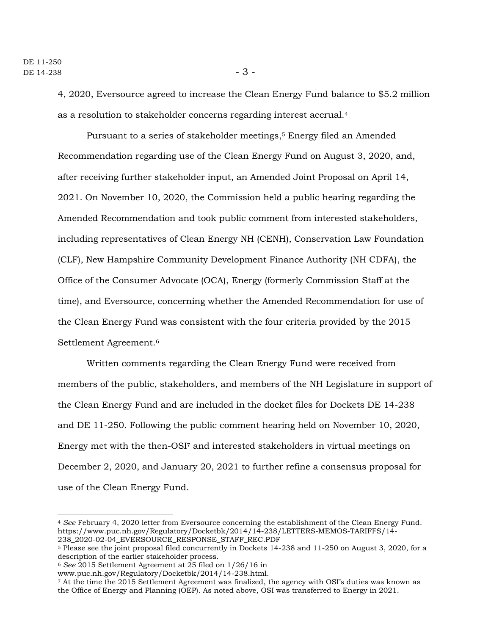4, 2020, Eversource agreed to increase the Clean Energy Fund balance to \$5.2 million as a resolution to stakeholder concerns regarding interest accrual.<sup>4</sup>

Pursuant to a series of stakeholder meetings, <sup>5</sup> Energy filed an Amended Recommendation regarding use of the Clean Energy Fund on August 3, 2020, and, after receiving further stakeholder input, an Amended Joint Proposal on April 14, 2021. On November 10, 2020, the Commission held a public hearing regarding the Amended Recommendation and took public comment from interested stakeholders, including representatives of Clean Energy NH (CENH), Conservation Law Foundation (CLF), New Hampshire Community Development Finance Authority (NH CDFA), the Office of the Consumer Advocate (OCA), Energy (formerly Commission Staff at the time), and Eversource, concerning whether the Amended Recommendation for use of the Clean Energy Fund was consistent with the four criteria provided by the 2015 Settlement Agreement.<sup>6</sup>

Written comments regarding the Clean Energy Fund were received from members of the public, stakeholders, and members of the NH Legislature in support of the Clean Energy Fund and are included in the docket files for Dockets DE 14-238 and DE 11-250. Following the public comment hearing held on November 10, 2020, Energy met with the then-OSI<sup>7</sup> and interested stakeholders in virtual meetings on December 2, 2020, and January 20, 2021 to further refine a consensus proposal for use of the Clean Energy Fund.

<sup>4</sup> *See* February 4, 2020 letter from Eversource concerning the establishment of the Clean Energy Fund. https://www.puc.nh.gov/Regulatory/Docketbk/2014/14-238/LETTERS-MEMOS-TARIFFS/14- 238\_2020-02-04\_EVERSOURCE\_RESPONSE\_STAFF\_REC.PDF

<sup>5</sup> Please see the joint proposal filed concurrently in Dockets 14-238 and 11-250 on August 3, 2020, for a description of the earlier stakeholder process.

<sup>6</sup> *See* 2015 Settlement Agreement at 25 filed on 1/26/16 in

www.puc.nh.gov/Regulatory/Docketbk/2014/14-238.html.

<sup>7</sup> At the time the 2015 Settlement Agreement was finalized, the agency with OSI's duties was known as the Office of Energy and Planning (OEP). As noted above, OSI was transferred to Energy in 2021.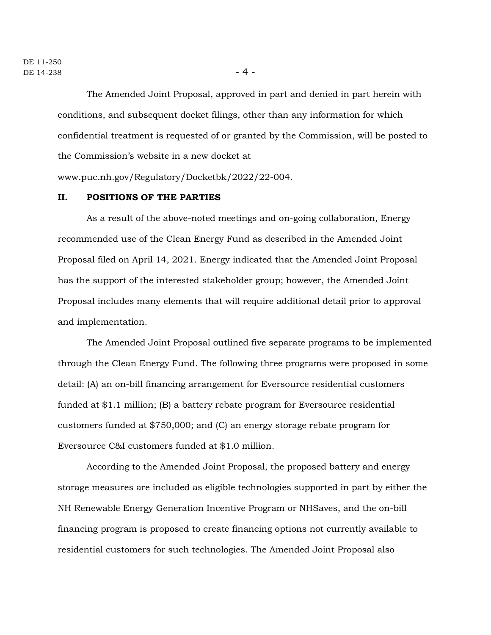The Amended Joint Proposal, approved in part and denied in part herein with conditions, and subsequent docket filings, other than any information for which confidential treatment is requested of or granted by the Commission, will be posted to the Commission's website in a new docket at

www.puc.nh.gov/Regulatory/Docketbk/2022/22-004.

## **II. POSITIONS OF THE PARTIES**

As a result of the above-noted meetings and on-going collaboration, Energy recommended use of the Clean Energy Fund as described in the Amended Joint Proposal filed on April 14, 2021. Energy indicated that the Amended Joint Proposal has the support of the interested stakeholder group; however, the Amended Joint Proposal includes many elements that will require additional detail prior to approval and implementation.

The Amended Joint Proposal outlined five separate programs to be implemented through the Clean Energy Fund. The following three programs were proposed in some detail: (A) an on-bill financing arrangement for Eversource residential customers funded at \$1.1 million; (B) a battery rebate program for Eversource residential customers funded at \$750,000; and (C) an energy storage rebate program for Eversource C&I customers funded at \$1.0 million.

According to the Amended Joint Proposal, the proposed battery and energy storage measures are included as eligible technologies supported in part by either the NH Renewable Energy Generation Incentive Program or NHSaves, and the on-bill financing program is proposed to create financing options not currently available to residential customers for such technologies. The Amended Joint Proposal also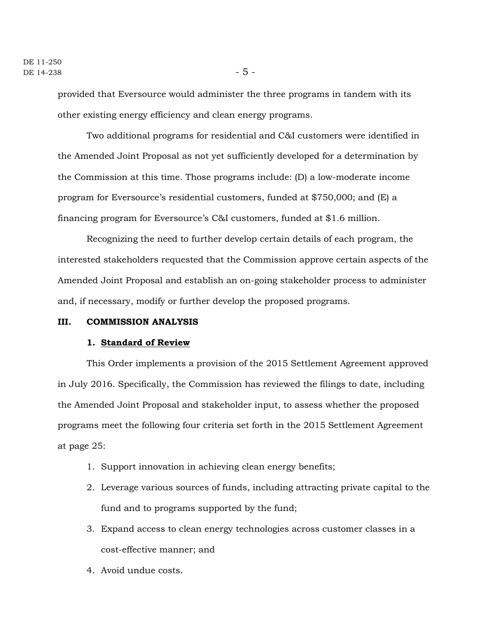provided that Eversource would administer the three programs in tandem with its other existing energy efficiency and clean energy programs.

Two additional programs for residential and C&I customers were identified in the Amended Joint Proposal as not yet sufficiently developed for a determination by the Commission at this time. Those programs include: (D) a low-moderate income program for Eversource's residential customers, funded at \$750,000; and (E) a financing program for Eversource's C&I customers, funded at \$1.6 million.

Recognizing the need to further develop certain details of each program, the interested stakeholders requested that the Commission approve certain aspects of the Amended Joint Proposal and establish an on-going stakeholder process to administer and, if necessary, modify or further develop the proposed programs.

### **III. COMMISSION ANALYSIS**

#### **1. Standard of Review**

This Order implements a provision of the 2015 Settlement Agreement approved in July 2016. Specifically, the Commission has reviewed the filings to date, including the Amended Joint Proposal and stakeholder input, to assess whether the proposed programs meet the following four criteria set forth in the 2015 Settlement Agreement at page 25:

- 1. Support innovation in achieving clean energy benefits;
- 2. Leverage various sources of funds, including attracting private capital to the fund and to programs supported by the fund;
- 3. Expand access to clean energy technologies across customer classes in a cost-effective manner; and
- 4. Avoid undue costs.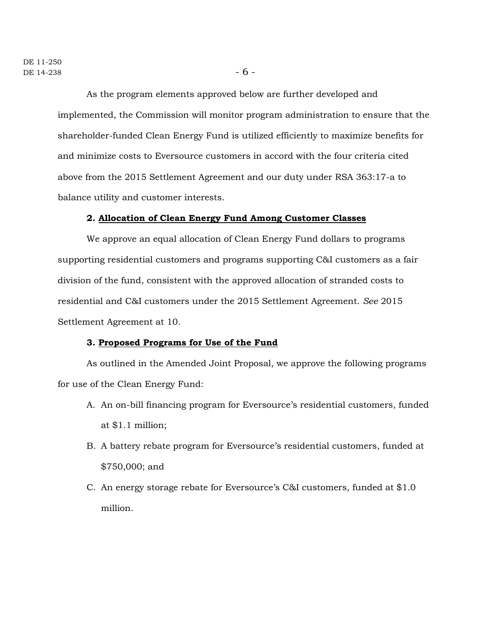As the program elements approved below are further developed and implemented, the Commission will monitor program administration to ensure that the shareholder-funded Clean Energy Fund is utilized efficiently to maximize benefits for and minimize costs to Eversource customers in accord with the four criteria cited above from the 2015 Settlement Agreement and our duty under RSA 363:17-a to balance utility and customer interests.

### **2. Allocation of Clean Energy Fund Among Customer Classes**

We approve an equal allocation of Clean Energy Fund dollars to programs supporting residential customers and programs supporting C&I customers as a fair division of the fund, consistent with the approved allocation of stranded costs to residential and C&I customers under the 2015 Settlement Agreement. *See* 2015 Settlement Agreement at 10.

#### **3. Proposed Programs for Use of the Fund**

As outlined in the Amended Joint Proposal, we approve the following programs for use of the Clean Energy Fund:

- A. An on-bill financing program for Eversource's residential customers, funded at \$1.1 million;
- B. A battery rebate program for Eversource's residential customers, funded at \$750,000; and
- C. An energy storage rebate for Eversource's C&I customers, funded at \$1.0 million.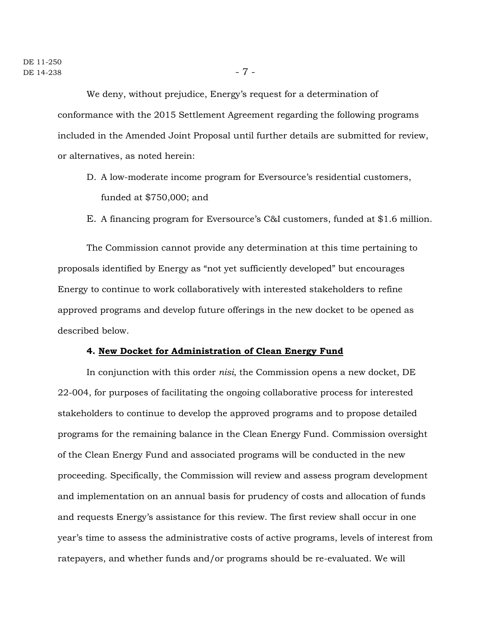We deny, without prejudice, Energy's request for a determination of conformance with the 2015 Settlement Agreement regarding the following programs included in the Amended Joint Proposal until further details are submitted for review, or alternatives, as noted herein:

- D. A low-moderate income program for Eversource's residential customers, funded at \$750,000; and
- E. A financing program for Eversource's C&I customers, funded at \$1.6 million.

The Commission cannot provide any determination at this time pertaining to proposals identified by Energy as "not yet sufficiently developed" but encourages Energy to continue to work collaboratively with interested stakeholders to refine approved programs and develop future offerings in the new docket to be opened as described below.

#### **4. New Docket for Administration of Clean Energy Fund**

In conjunction with this order *nisi*, the Commission opens a new docket, DE 22-004, for purposes of facilitating the ongoing collaborative process for interested stakeholders to continue to develop the approved programs and to propose detailed programs for the remaining balance in the Clean Energy Fund. Commission oversight of the Clean Energy Fund and associated programs will be conducted in the new proceeding. Specifically, the Commission will review and assess program development and implementation on an annual basis for prudency of costs and allocation of funds and requests Energy's assistance for this review. The first review shall occur in one year's time to assess the administrative costs of active programs, levels of interest from ratepayers, and whether funds and/or programs should be re-evaluated. We will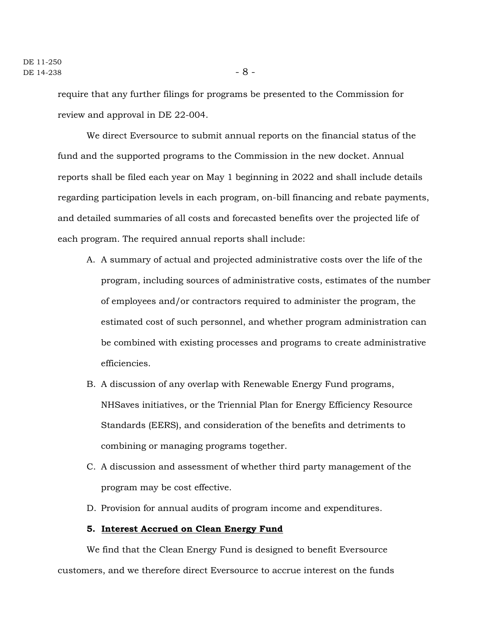require that any further filings for programs be presented to the Commission for review and approval in DE 22-004.

We direct Eversource to submit annual reports on the financial status of the fund and the supported programs to the Commission in the new docket. Annual reports shall be filed each year on May 1 beginning in 2022 and shall include details regarding participation levels in each program, on-bill financing and rebate payments, and detailed summaries of all costs and forecasted benefits over the projected life of each program. The required annual reports shall include:

- A. A summary of actual and projected administrative costs over the life of the program, including sources of administrative costs, estimates of the number of employees and/or contractors required to administer the program, the estimated cost of such personnel, and whether program administration can be combined with existing processes and programs to create administrative efficiencies.
- B. A discussion of any overlap with Renewable Energy Fund programs, NHSaves initiatives, or the Triennial Plan for Energy Efficiency Resource Standards (EERS), and consideration of the benefits and detriments to combining or managing programs together.
- C. A discussion and assessment of whether third party management of the program may be cost effective.
- D. Provision for annual audits of program income and expenditures.

## **5. Interest Accrued on Clean Energy Fund**

We find that the Clean Energy Fund is designed to benefit Eversource customers, and we therefore direct Eversource to accrue interest on the funds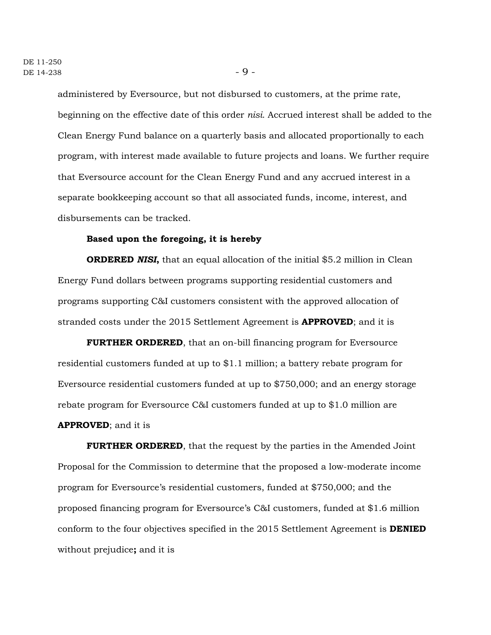administered by Eversource, but not disbursed to customers, at the prime rate, beginning on the effective date of this order *nisi*. Accrued interest shall be added to the Clean Energy Fund balance on a quarterly basis and allocated proportionally to each program, with interest made available to future projects and loans. We further require that Eversource account for the Clean Energy Fund and any accrued interest in a separate bookkeeping account so that all associated funds, income, interest, and disbursements can be tracked.

#### **Based upon the foregoing, it is hereby**

**ORDERED** *NISI***,** that an equal allocation of the initial \$5.2 million in Clean Energy Fund dollars between programs supporting residential customers and programs supporting C&I customers consistent with the approved allocation of stranded costs under the 2015 Settlement Agreement is **APPROVED**; and it is

**FURTHER ORDERED**, that an on-bill financing program for Eversource residential customers funded at up to \$1.1 million; a battery rebate program for Eversource residential customers funded at up to \$750,000; and an energy storage rebate program for Eversource C&I customers funded at up to \$1.0 million are **APPROVED**; and it is

**FURTHER ORDERED**, that the request by the parties in the Amended Joint Proposal for the Commission to determine that the proposed a low-moderate income program for Eversource's residential customers, funded at \$750,000; and the proposed financing program for Eversource's C&I customers, funded at \$1.6 million conform to the four objectives specified in the 2015 Settlement Agreement is **DENIED** without prejudice**;** and it is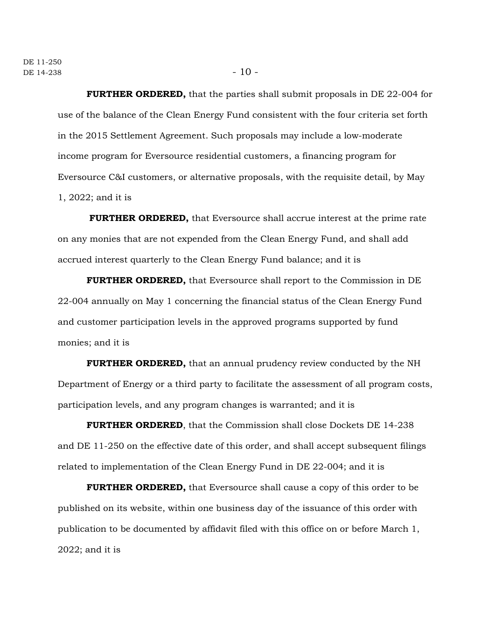**FURTHER ORDERED,** that the parties shall submit proposals in DE 22-004 for use of the balance of the Clean Energy Fund consistent with the four criteria set forth in the 2015 Settlement Agreement. Such proposals may include a low-moderate income program for Eversource residential customers, a financing program for Eversource C&I customers, or alternative proposals, with the requisite detail, by May 1, 2022; and it is

**FURTHER ORDERED,** that Eversource shall accrue interest at the prime rate on any monies that are not expended from the Clean Energy Fund, and shall add accrued interest quarterly to the Clean Energy Fund balance; and it is

**FURTHER ORDERED,** that Eversource shall report to the Commission in DE 22-004 annually on May 1 concerning the financial status of the Clean Energy Fund and customer participation levels in the approved programs supported by fund monies; and it is

**FURTHER ORDERED,** that an annual prudency review conducted by the NH Department of Energy or a third party to facilitate the assessment of all program costs, participation levels, and any program changes is warranted; and it is

**FURTHER ORDERED**, that the Commission shall close Dockets DE 14-238 and DE 11-250 on the effective date of this order, and shall accept subsequent filings related to implementation of the Clean Energy Fund in DE 22-004; and it is

**FURTHER ORDERED,** that Eversource shall cause a copy of this order to be published on its website, within one business day of the issuance of this order with publication to be documented by affidavit filed with this office on or before March 1, 2022; and it is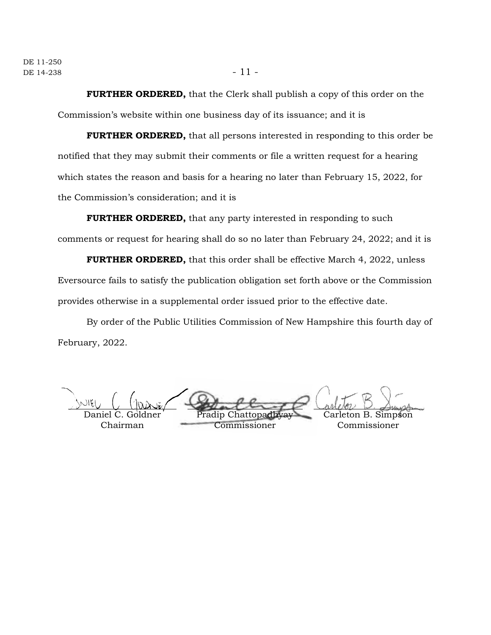**FURTHER ORDERED,** that the Clerk shall publish a copy of this order on the Commission's website within one business day of its issuance; and it is

**FURTHER ORDERED,** that all persons interested in responding to this order be notified that they may submit their comments or file a written request for a hearing which states the reason and basis for a hearing no later than February 15, 2022, for the Commission's consideration; and it is

**FURTHER ORDERED,** that any party interested in responding to such comments or request for hearing shall do so no later than February 24, 2022; and it is

**FURTHER ORDERED,** that this order shall be effective March 4, 2022, unless Eversource fails to satisfy the publication obligation set forth above or the Commission provides otherwise in a supplemental order issued prior to the effective date.

By order of the Public Utilities Commission of New Hampshire this fourth day of February, 2022.

Goldner

Chairman

Pradip Chatto Commissioner Carleton B. Simpson Commissioner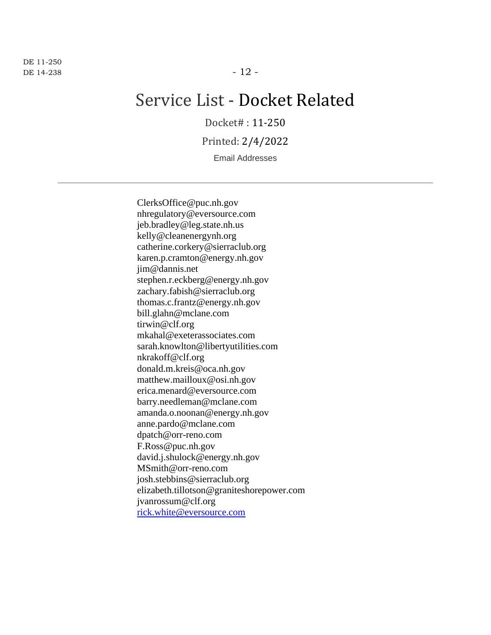DE 11-250  $DE$  14-238 - 12 -

# Service List - Docket Related

Docket# : 11-250

Printed: 2/4/2022

Email Addresses

ClerksOffice@puc.nh.gov nhregulatory@eversource.com jeb.bradley@leg.state.nh.us kelly@cleanenergynh.org catherine.corkery@sierraclub.org karen.p.cramton@energy.nh.gov jim@dannis.net stephen.r.eckberg@energy.nh.gov zachary.fabish@sierraclub.org thomas.c.frantz@energy.nh.gov bill.glahn@mclane.com tirwin@clf.org mkahal@exeterassociates.com sarah.knowlton@libertyutilities.com nkrakoff@clf.org donald.m.kreis@oca.nh.gov matthew.mailloux@osi.nh.gov erica.menard@eversource.com barry.needleman@mclane.com amanda.o.noonan@energy.nh.gov anne.pardo@mclane.com dpatch@orr-reno.com F.Ross@puc.nh.gov david.j.shulock@energy.nh.gov MSmith@orr-reno.com josh.stebbins@sierraclub.org elizabeth.tillotson@graniteshorepower.com jvanrossum@clf.org [rick.white@eversource.com](mailto:rick.white@eversource.com)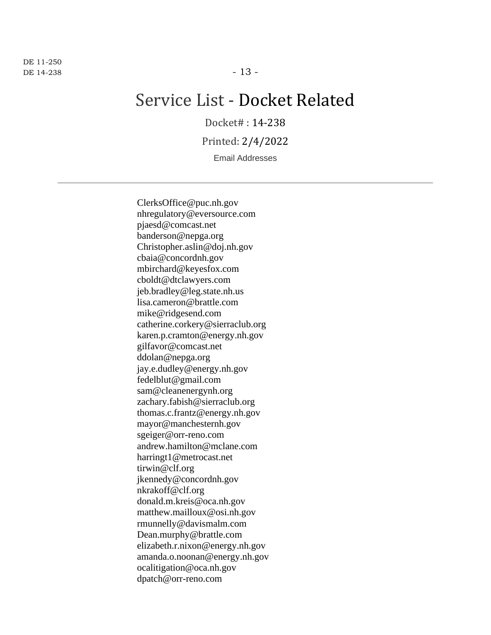DE 11-250  $DE$  14-238 - 13 -

# Service List - Docket Related

Docket# : 14-238

Printed: 2/4/2022

Email Addresses

ClerksOffice@puc.nh.gov nhregulatory@eversource.com pjaesd@comcast.net banderson@nepga.org Christopher.aslin@doj.nh.gov cbaia@concordnh.gov mbirchard@keyesfox.com cboldt@dtclawyers.com jeb.bradley@leg.state.nh.us lisa.cameron@brattle.com mike@ridgesend.com catherine.corkery@sierraclub.org karen.p.cramton@energy.nh.gov gilfavor@comcast.net ddolan@nepga.org jay.e.dudley@energy.nh.gov fedelblut@gmail.com sam@cleanenergynh.org zachary.fabish@sierraclub.org thomas.c.frantz@energy.nh.gov mayor@manchesternh.gov sgeiger@orr-reno.com andrew.hamilton@mclane.com harringt1@metrocast.net tirwin@clf.org jkennedy@concordnh.gov nkrakoff@clf.org donald.m.kreis@oca.nh.gov matthew.mailloux@osi.nh.gov rmunnelly@davismalm.com Dean.murphy@brattle.com elizabeth.r.nixon@energy.nh.gov amanda.o.noonan@energy.nh.gov ocalitigation@oca.nh.gov dpatch@orr-reno.com